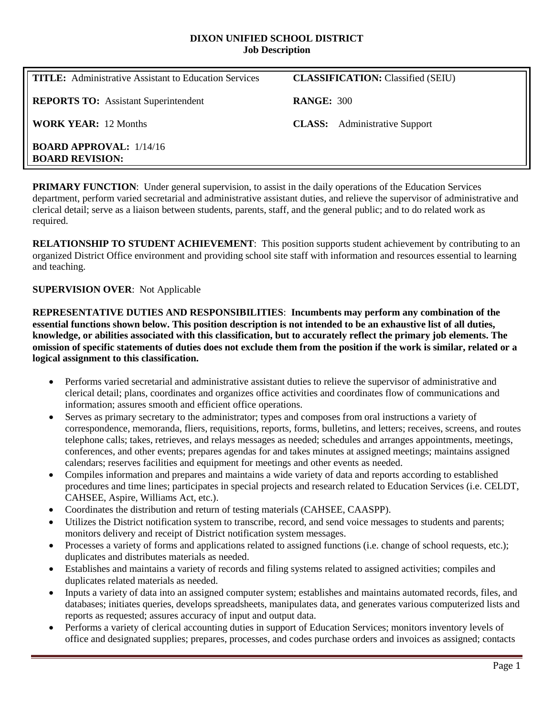#### **DIXON UNIFIED SCHOOL DISTRICT Job Description**

| <b>TITLE:</b> Administrative Assistant to Education Services | <b>CLASSIFICATION:</b> Classified (SEIU) |
|--------------------------------------------------------------|------------------------------------------|
| <b>REPORTS TO:</b> Assistant Superintendent                  | <b>RANGE: 300</b>                        |
| <b>WORK YEAR:</b> 12 Months                                  | <b>CLASS:</b> Administrative Support     |
| <b>BOARD APPROVAL:</b> 1/14/16<br><b>BOARD REVISION:</b>     |                                          |

**PRIMARY FUNCTION:** Under general supervision, to assist in the daily operations of the Education Services department, perform varied secretarial and administrative assistant duties, and relieve the supervisor of administrative and clerical detail; serve as a liaison between students, parents, staff, and the general public; and to do related work as required.

**RELATIONSHIP TO STUDENT ACHIEVEMENT**: This position supports student achievement by contributing to an organized District Office environment and providing school site staff with information and resources essential to learning and teaching.

## **SUPERVISION OVER**: Not Applicable

**REPRESENTATIVE DUTIES AND RESPONSIBILITIES**: **Incumbents may perform any combination of the essential functions shown below. This position description is not intended to be an exhaustive list of all duties, knowledge, or abilities associated with this classification, but to accurately reflect the primary job elements. The omission of specific statements of duties does not exclude them from the position if the work is similar, related or a logical assignment to this classification.**

- Performs varied secretarial and administrative assistant duties to relieve the supervisor of administrative and clerical detail; plans, coordinates and organizes office activities and coordinates flow of communications and information; assures smooth and efficient office operations.
- Serves as primary secretary to the administrator; types and composes from oral instructions a variety of correspondence, memoranda, fliers, requisitions, reports, forms, bulletins, and letters; receives, screens, and routes telephone calls; takes, retrieves, and relays messages as needed; schedules and arranges appointments, meetings, conferences, and other events; prepares agendas for and takes minutes at assigned meetings; maintains assigned calendars; reserves facilities and equipment for meetings and other events as needed.
- Compiles information and prepares and maintains a wide variety of data and reports according to established procedures and time lines; participates in special projects and research related to Education Services (i.e. CELDT, CAHSEE, Aspire, Williams Act, etc.).
- Coordinates the distribution and return of testing materials (CAHSEE, CAASPP).
- Utilizes the District notification system to transcribe, record, and send voice messages to students and parents; monitors delivery and receipt of District notification system messages.
- Processes a variety of forms and applications related to assigned functions (i.e. change of school requests, etc.); duplicates and distributes materials as needed.
- Establishes and maintains a variety of records and filing systems related to assigned activities; compiles and duplicates related materials as needed.
- Inputs a variety of data into an assigned computer system; establishes and maintains automated records, files, and databases; initiates queries, develops spreadsheets, manipulates data, and generates various computerized lists and reports as requested; assures accuracy of input and output data.
- Performs a variety of clerical accounting duties in support of Education Services; monitors inventory levels of office and designated supplies; prepares, processes, and codes purchase orders and invoices as assigned; contacts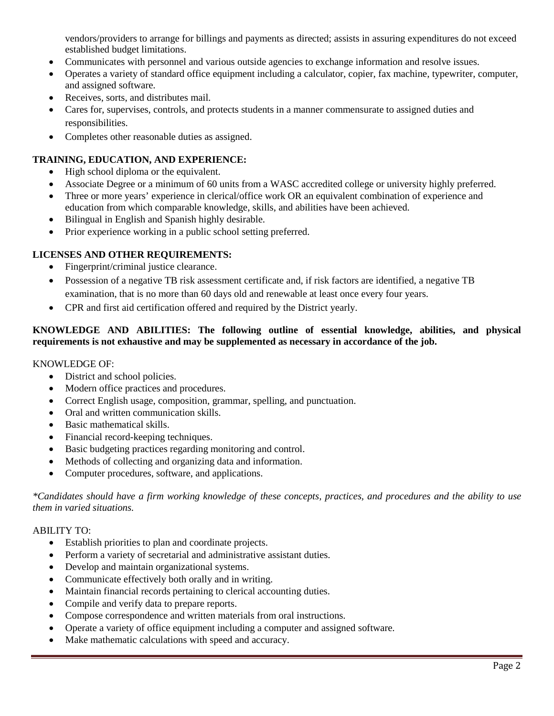vendors/providers to arrange for billings and payments as directed; assists in assuring expenditures do not exceed established budget limitations.

- Communicates with personnel and various outside agencies to exchange information and resolve issues.
- Operates a variety of standard office equipment including a calculator, copier, fax machine, typewriter, computer, and assigned software.
- Receives, sorts, and distributes mail.
- Cares for, supervises, controls, and protects students in a manner commensurate to assigned duties and responsibilities.
- Completes other reasonable duties as assigned.

# **TRAINING, EDUCATION, AND EXPERIENCE:**

- High school diploma or the equivalent.
- Associate Degree or a minimum of 60 units from a WASC accredited college or university highly preferred.
- Three or more years' experience in clerical/office work OR an equivalent combination of experience and education from which comparable knowledge, skills, and abilities have been achieved.
- Bilingual in English and Spanish highly desirable.
- Prior experience working in a public school setting preferred.

## **LICENSES AND OTHER REQUIREMENTS:**

- Fingerprint/criminal justice clearance.
- Possession of a negative TB risk assessment certificate and, if risk factors are identified, a negative TB examination, that is no more than 60 days old and renewable at least once every four years.
- CPR and first aid certification offered and required by the District yearly.

# **KNOWLEDGE AND ABILITIES: The following outline of essential knowledge, abilities, and physical requirements is not exhaustive and may be supplemented as necessary in accordance of the job.**

### KNOWLEDGE OF:

- District and school policies.
- Modern office practices and procedures.
- Correct English usage, composition, grammar, spelling, and punctuation.
- Oral and written communication skills.
- Basic mathematical skills.
- Financial record-keeping techniques.
- Basic budgeting practices regarding monitoring and control.
- Methods of collecting and organizing data and information.
- Computer procedures, software, and applications.

*\*Candidates should have a firm working knowledge of these concepts, practices, and procedures and the ability to use them in varied situations.*

### ABILITY TO:

- Establish priorities to plan and coordinate projects.
- Perform a variety of secretarial and administrative assistant duties.
- Develop and maintain organizational systems.
- Communicate effectively both orally and in writing.
- Maintain financial records pertaining to clerical accounting duties.
- Compile and verify data to prepare reports.
- Compose correspondence and written materials from oral instructions.
- Operate a variety of office equipment including a computer and assigned software.
- Make mathematic calculations with speed and accuracy.